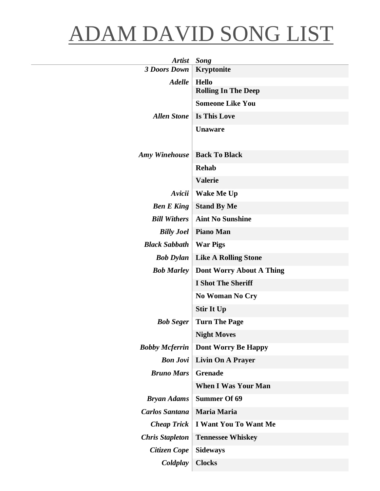## ADAM DAVID SONG LIST

| <b>Artist</b>          | Song                            |
|------------------------|---------------------------------|
| <b>3 Doors Down</b>    | <b>Kryptonite</b>               |
| <b>Adelle</b>          | <b>Hello</b>                    |
|                        | <b>Rolling In The Deep</b>      |
|                        | <b>Someone Like You</b>         |
| <b>Allen Stone</b>     | <b>Is This Love</b>             |
|                        | <b>Unaware</b>                  |
| <b>Amy Winehouse</b>   | <b>Back To Black</b>            |
|                        | <b>Rehab</b>                    |
|                        | <b>Valerie</b>                  |
| Avicii                 | <b>Wake Me Up</b>               |
| <b>Ben E King</b>      | <b>Stand By Me</b>              |
| <b>Bill Withers</b>    | <b>Aint No Sunshine</b>         |
| <b>Billy Joel</b>      | <b>Piano Man</b>                |
| <b>Black Sabbath</b>   | <b>War Pigs</b>                 |
| <b>Bob Dylan</b>       | <b>Like A Rolling Stone</b>     |
| <b>Bob Marley</b>      | <b>Dont Worry About A Thing</b> |
|                        | <b>I Shot The Sheriff</b>       |
|                        | No Woman No Cry                 |
|                        | <b>Stir It Up</b>               |
| <b>Bob Seger</b>       | <b>Turn The Page</b>            |
|                        | <b>Night Moves</b>              |
| <b>Bobby Mcferrin</b>  | <b>Dont Worry Be Happy</b>      |
| <b>Bon Jovi</b>        | <b>Livin On A Prayer</b>        |
| <b>Bruno Mars</b>      | <b>Grenade</b>                  |
|                        | <b>When I Was Your Man</b>      |
| <b>Bryan Adams</b>     | <b>Summer Of 69</b>             |
| <b>Carlos Santana</b>  | <b>Maria Maria</b>              |
| <b>Cheap Trick</b>     | <b>I Want You To Want Me</b>    |
| <b>Chris Stapleton</b> | <b>Tennessee Whiskey</b>        |
| Citizen Cope           | <b>Sideways</b>                 |
| Coldplay               | <b>Clocks</b>                   |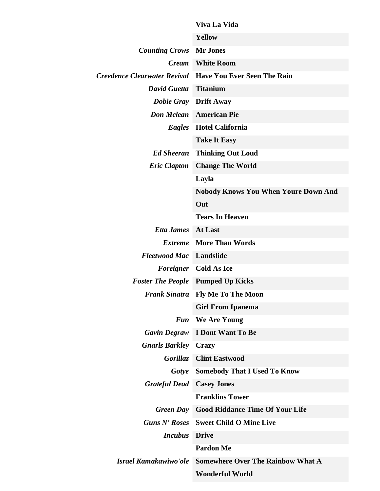|                                     | Viva La Vida                                |
|-------------------------------------|---------------------------------------------|
|                                     | <b>Yellow</b>                               |
| <b>Counting Crows</b>               | <b>Mr Jones</b>                             |
| <i>Cream</i>                        | <b>White Room</b>                           |
| <b>Creedence Clearwater Revival</b> | <b>Have You Ever Seen The Rain</b>          |
| <b>David Guetta</b>                 | <b>Titanium</b>                             |
| <b>Dobie Gray</b>                   | <b>Drift Away</b>                           |
| <b>Don Mclean</b>                   | <b>American Pie</b>                         |
| Eagles                              | <b>Hotel California</b>                     |
|                                     | <b>Take It Easy</b>                         |
| <b>Ed Sheeran</b>                   | <b>Thinking Out Loud</b>                    |
| <b>Eric Clapton</b>                 | <b>Change The World</b>                     |
|                                     | Layla                                       |
|                                     | <b>Nobody Knows You When Youre Down And</b> |
|                                     | Out                                         |
|                                     | <b>Tears In Heaven</b>                      |
| <b>Etta James</b>                   | At Last                                     |
| <i>Extreme</i>                      | <b>More Than Words</b>                      |
| <b>Fleetwood Mac</b>                | Landslide                                   |
| Foreigner                           | <b>Cold As Ice</b>                          |
| <b>Foster The People</b>            | <b>Pumped Up Kicks</b>                      |
| <b>Frank Sinatra</b>                | <b>Fly Me To The Moon</b>                   |
|                                     | <b>Girl From Ipanema</b>                    |
| <b>Fun</b>                          | We Are Young                                |
| <b>Gavin Degraw</b>                 | <b>I Dont Want To Be</b>                    |
| <b>Gnarls Barkley</b>               | <b>Crazy</b>                                |
| Gorillaz                            | <b>Clint Eastwood</b>                       |
| Gotye                               | <b>Somebody That I Used To Know</b>         |
| <b>Grateful Dead</b>                | <b>Casey Jones</b>                          |
|                                     | <b>Franklins Tower</b>                      |
| <b>Green Day</b>                    | <b>Good Riddance Time Of Your Life</b>      |
| <b>Guns N' Roses</b>                | <b>Sweet Child O Mine Live</b>              |
| <b>Incubus</b>                      | <b>Drive</b>                                |
|                                     | <b>Pardon Me</b>                            |
| Israel Kamakawiwo'ole               | <b>Somewhere Over The Rainbow What A</b>    |
|                                     | <b>Wonderful World</b>                      |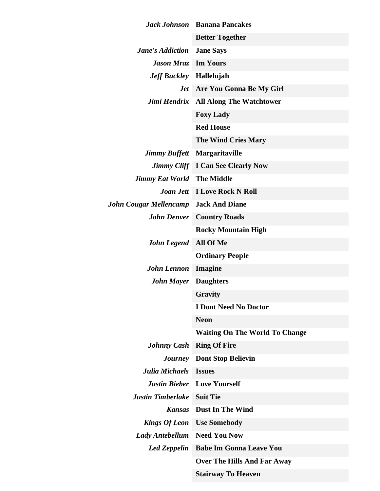| Jack Johnson                  | <b>Banana Pancakes</b>                |
|-------------------------------|---------------------------------------|
|                               | <b>Better Together</b>                |
| <b>Jane's Addiction</b>       | <b>Jane Says</b>                      |
| <b>Jason Mraz</b>             | <b>Im Yours</b>                       |
| <b>Jeff Buckley</b>           | Hallelujah                            |
| <b>Jet</b>                    | Are You Gonna Be My Girl              |
| Jimi Hendrix                  | <b>All Along The Watchtower</b>       |
|                               | <b>Foxy Lady</b>                      |
|                               | <b>Red House</b>                      |
|                               | <b>The Wind Cries Mary</b>            |
| <b>Jimmy Buffett</b>          | Margaritaville                        |
| Jimmy Cliff $\vert$           | <b>I Can See Clearly Now</b>          |
| <b>Jimmy Eat World</b>        | <b>The Middle</b>                     |
| Joan Jett                     | <b>I Love Rock N Roll</b>             |
| <b>John Cougar Mellencamp</b> | <b>Jack And Diane</b>                 |
| <b>John Denver</b>            | <b>Country Roads</b>                  |
|                               | <b>Rocky Mountain High</b>            |
| <b>John Legend</b>            | All Of Me                             |
|                               | <b>Ordinary People</b>                |
| <b>John Lennon</b>            | Imagine                               |
| <b>John Mayer</b>             | <b>Daughters</b>                      |
|                               | <b>Gravity</b>                        |
|                               | <b>I Dont Need No Doctor</b>          |
|                               | <b>Neon</b>                           |
|                               | <b>Waiting On The World To Change</b> |
| <b>Johnny Cash</b>            | <b>Ring Of Fire</b>                   |
| <b>Journey</b>                | <b>Dont Stop Believin</b>             |
| <b>Julia Michaels</b>         | <b>Issues</b>                         |
| <b>Justin Bieber</b>          | <b>Love Yourself</b>                  |
| <b>Justin Timberlake</b>      | <b>Suit Tie</b>                       |
| <b>Kansas</b>                 | <b>Dust In The Wind</b>               |
| <b>Kings Of Leon</b>          | <b>Use Somebody</b>                   |
| Lady Antebellum               | <b>Need You Now</b>                   |
| <b>Led Zeppelin</b>           | <b>Babe Im Gonna Leave You</b>        |
|                               | <b>Over The Hills And Far Away</b>    |
|                               | <b>Stairway To Heaven</b>             |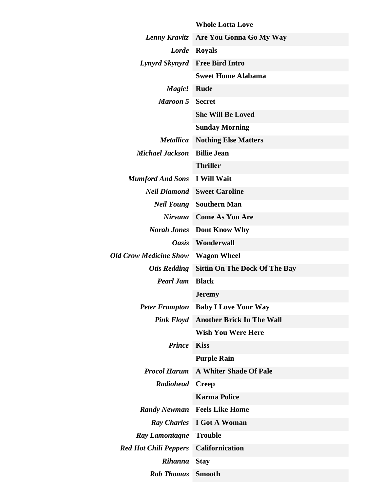|                               | <b>Whole Lotta Love</b>              |
|-------------------------------|--------------------------------------|
| Lenny Kravitz                 | Are You Gonna Go My Way              |
| <b>Lorde</b>                  | <b>Royals</b>                        |
| Lynyrd Skynyrd                | <b>Free Bird Intro</b>               |
|                               | <b>Sweet Home Alabama</b>            |
| Magic!                        | <b>Rude</b>                          |
| <b>Maroon 5</b>               | <b>Secret</b>                        |
|                               | <b>She Will Be Loved</b>             |
|                               | <b>Sunday Morning</b>                |
| <b>Metallica</b>              | <b>Nothing Else Matters</b>          |
| <b>Michael Jackson</b>        | <b>Billie Jean</b>                   |
|                               | <b>Thriller</b>                      |
| <b>Mumford And Sons</b>       | <b>I Will Wait</b>                   |
| <b>Neil Diamond</b>           | <b>Sweet Caroline</b>                |
| <b>Neil Young</b>             | <b>Southern Man</b>                  |
| Nirvana                       | <b>Come As You Are</b>               |
| <b>Norah Jones</b>            | Dont Know Why                        |
| <b>Oasis</b>                  | Wonderwall                           |
| <b>Old Crow Medicine Show</b> | <b>Wagon Wheel</b>                   |
| <b>Otis Redding</b>           | <b>Sittin On The Dock Of The Bay</b> |
| <b>Pearl Jam</b>              | <b>Black</b>                         |
|                               | <b>Jeremy</b>                        |
| <b>Peter Frampton</b>         | <b>Baby I Love Your Way</b>          |
| <b>Pink Floyd</b>             | <b>Another Brick In The Wall</b>     |
|                               | <b>Wish You Were Here</b>            |
| <b>Prince</b>                 | <b>Kiss</b>                          |
|                               | <b>Purple Rain</b>                   |
| <b>Procol Harum</b>           | <b>A Whiter Shade Of Pale</b>        |
| <b>Radiohead</b>              | <b>Creep</b>                         |
|                               | <b>Karma Police</b>                  |
| <b>Randy Newman</b>           | <b>Feels Like Home</b>               |
| <b>Ray Charles</b>            | <b>I</b> Got A Woman                 |
| Ray Lamontagne                | <b>Trouble</b>                       |
| <b>Red Hot Chili Peppers</b>  | <b>Californication</b>               |
| <b>Rihanna</b>                | <b>Stay</b>                          |
| <b>Rob Thomas</b>             | <b>Smooth</b>                        |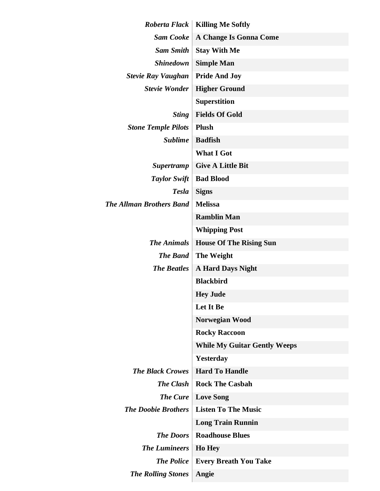| Roberta Flack                   | <b>Killing Me Softly</b>            |
|---------------------------------|-------------------------------------|
| <b>Sam Cooke</b>                | <b>A Change Is Gonna Come</b>       |
| <b>Sam Smith</b>                | <b>Stay With Me</b>                 |
| <b>Shinedown</b>                | <b>Simple Man</b>                   |
| <b>Stevie Ray Vaughan</b>       | <b>Pride And Joy</b>                |
| <b>Stevie Wonder</b>            | <b>Higher Ground</b>                |
|                                 | <b>Superstition</b>                 |
| <b>Sting</b>                    | <b>Fields Of Gold</b>               |
| <b>Stone Temple Pilots</b>      | <b>Plush</b>                        |
| <b>Sublime</b>                  | <b>Badfish</b>                      |
|                                 | <b>What I Got</b>                   |
| <b>Supertramp</b>               | <b>Give A Little Bit</b>            |
| <b>Taylor Swift</b>             | <b>Bad Blood</b>                    |
| <b>Tesla</b>                    | <b>Signs</b>                        |
| <b>The Allman Brothers Band</b> | <b>Melissa</b>                      |
|                                 | <b>Ramblin Man</b>                  |
|                                 | <b>Whipping Post</b>                |
| <b>The Animals</b>              | <b>House Of The Rising Sun</b>      |
| <b>The Band</b>                 | <b>The Weight</b>                   |
| <b>The Beatles</b>              | <b>A Hard Days Night</b>            |
|                                 | <b>Blackbird</b>                    |
|                                 | <b>Hey Jude</b>                     |
|                                 | Let It Be                           |
|                                 | Norwegian Wood                      |
|                                 | <b>Rocky Raccoon</b>                |
|                                 | <b>While My Guitar Gently Weeps</b> |
|                                 | <b>Yesterday</b>                    |
| <b>The Black Crowes</b>         | <b>Hard To Handle</b>               |
| <b>The Clash</b>                | <b>Rock The Casbah</b>              |
| <b>The Cure</b>                 | <b>Love Song</b>                    |
| <b>The Doobie Brothers</b>      | <b>Listen To The Music</b>          |
|                                 | <b>Long Train Runnin</b>            |
| <b>The Doors</b>                | <b>Roadhouse Blues</b>              |
| <b>The Lumineers</b>            | <b>Ho Hey</b>                       |
| <b>The Police</b>               | <b>Every Breath You Take</b>        |
| <b>The Rolling Stones</b>       | Angie                               |